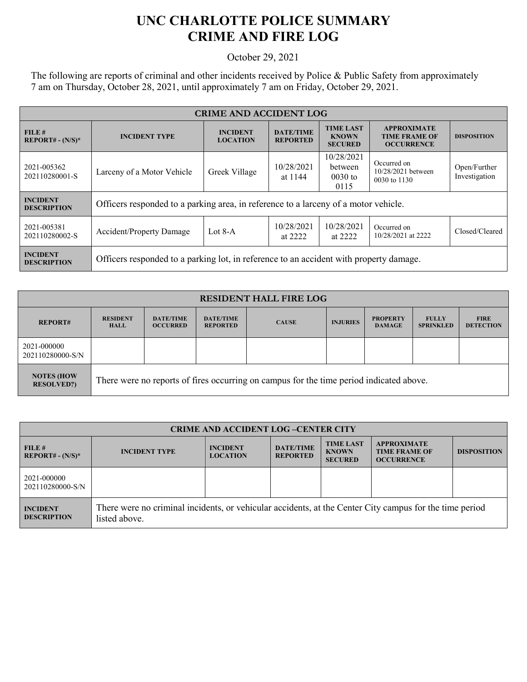## **UNC CHARLOTTE POLICE SUMMARY CRIME AND FIRE LOG**

October 29, 2021

The following are reports of criminal and other incidents received by Police & Public Safety from approximately 7 am on Thursday, October 28, 2021, until approximately 7 am on Friday, October 29, 2021.

| <b>CRIME AND ACCIDENT LOG</b>         |                                                                                        |                                    |                                     |                                                    |                                                                 |                               |  |
|---------------------------------------|----------------------------------------------------------------------------------------|------------------------------------|-------------------------------------|----------------------------------------------------|-----------------------------------------------------------------|-------------------------------|--|
| FILE#<br>$REPORT# - (N/S)*$           | <b>INCIDENT TYPE</b>                                                                   | <b>INCIDENT</b><br><b>LOCATION</b> | <b>DATE/TIME</b><br><b>REPORTED</b> | <b>TIME LAST</b><br><b>KNOWN</b><br><b>SECURED</b> | <b>APPROXIMATE</b><br><b>TIME FRAME OF</b><br><b>OCCURRENCE</b> | <b>DISPOSITION</b>            |  |
| 2021-005362<br>202110280001-S         | Larceny of a Motor Vehicle                                                             | Greek Village                      | 10/28/2021<br>at 1144               | 10/28/2021<br>between<br>$0030$ to<br>0115         | Occurred on<br>10/28/2021 between<br>0030 to 1130               | Open/Further<br>Investigation |  |
| <b>INCIDENT</b><br><b>DESCRIPTION</b> | Officers responded to a parking area, in reference to a larceny of a motor vehicle.    |                                    |                                     |                                                    |                                                                 |                               |  |
| 2021-005381<br>202110280002-S         | <b>Accident/Property Damage</b>                                                        | Lot $8-A$                          | 10/28/2021<br>at 2222               | 10/28/2021<br>at 2222                              | Occurred on<br>10/28/2021 at 2222                               | Closed/Cleared                |  |
| <b>INCIDENT</b><br><b>DESCRIPTION</b> | Officers responded to a parking lot, in reference to an accident with property damage. |                                    |                                     |                                                    |                                                                 |                               |  |

| <b>RESIDENT HALL FIRE LOG</b>           |                                                                                         |                                     |                                     |              |                 |                                  |                                  |                                 |
|-----------------------------------------|-----------------------------------------------------------------------------------------|-------------------------------------|-------------------------------------|--------------|-----------------|----------------------------------|----------------------------------|---------------------------------|
| <b>REPORT#</b>                          | <b>RESIDENT</b><br><b>HALL</b>                                                          | <b>DATE/TIME</b><br><b>OCCURRED</b> | <b>DATE/TIME</b><br><b>REPORTED</b> | <b>CAUSE</b> | <b>INJURIES</b> | <b>PROPERTY</b><br><b>DAMAGE</b> | <b>FULLY</b><br><b>SPRINKLED</b> | <b>FIRE</b><br><b>DETECTION</b> |
| 2021-000000<br>202110280000-S/N         |                                                                                         |                                     |                                     |              |                 |                                  |                                  |                                 |
| <b>NOTES (HOW)</b><br><b>RESOLVED?)</b> | There were no reports of fires occurring on campus for the time period indicated above. |                                     |                                     |              |                 |                                  |                                  |                                 |

| <b>CRIME AND ACCIDENT LOG-CENTER CITY</b> |                                                                                                                          |                                    |                                     |                                                    |                                                                 |                    |  |
|-------------------------------------------|--------------------------------------------------------------------------------------------------------------------------|------------------------------------|-------------------------------------|----------------------------------------------------|-----------------------------------------------------------------|--------------------|--|
| FILE H<br>$REPORT# - (N/S)*$              | <b>INCIDENT TYPE</b>                                                                                                     | <b>INCIDENT</b><br><b>LOCATION</b> | <b>DATE/TIME</b><br><b>REPORTED</b> | <b>TIME LAST</b><br><b>KNOWN</b><br><b>SECURED</b> | <b>APPROXIMATE</b><br><b>TIME FRAME OF</b><br><b>OCCURRENCE</b> | <b>DISPOSITION</b> |  |
| 2021-000000<br>202110280000-S/N           |                                                                                                                          |                                    |                                     |                                                    |                                                                 |                    |  |
| <b>INCIDENT</b><br><b>DESCRIPTION</b>     | There were no criminal incidents, or vehicular accidents, at the Center City campus for the time period<br>listed above. |                                    |                                     |                                                    |                                                                 |                    |  |